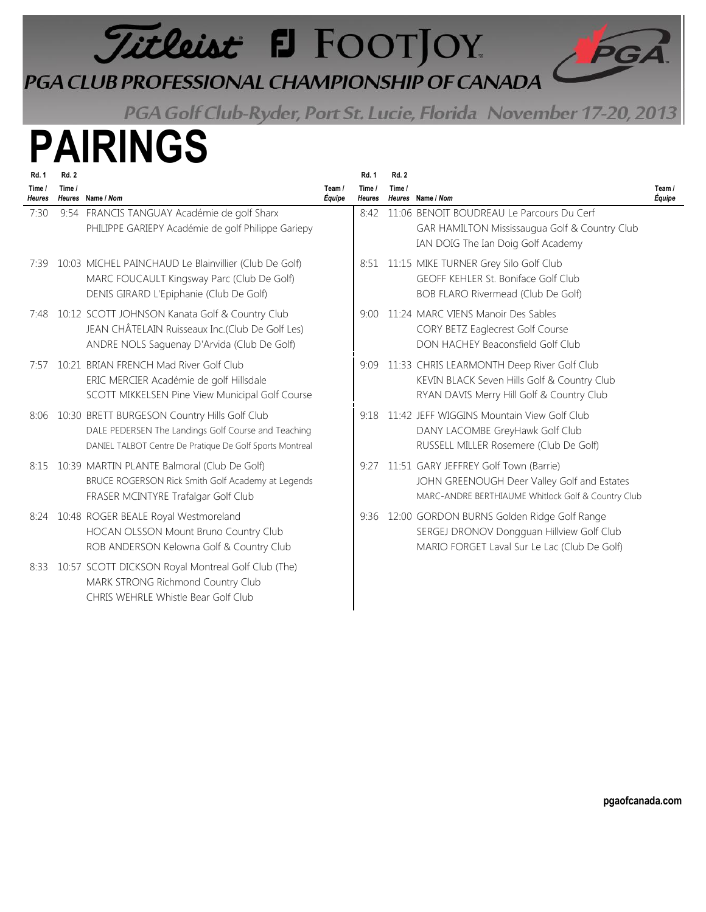## Titleist E FOOTJOY

*Vitleist* FJ FOOTJOY<br>PGACLUB PROFESSIONAL CHAMPIONSHIP OF CANADA<br>PGA Golf Club-Ryder, Port St. Lucie, Florida November 17-20, 20

PGA Golf Club-Ryder, Port St. Lucie, Florida November 17-20, 2013

## **PAIRINGS**

| <b>Rd. 1</b>            | <b>Rd. 2</b> |                                                                                                                                                                 |                  | <b>Rd. 1</b>            | Rd. 2  |                                                                                                                                            |                  |
|-------------------------|--------------|-----------------------------------------------------------------------------------------------------------------------------------------------------------------|------------------|-------------------------|--------|--------------------------------------------------------------------------------------------------------------------------------------------|------------------|
| Time /<br><b>Heures</b> | Time /       | Heures Name / Nom                                                                                                                                               | Team /<br>Équipe | Time /<br><b>Heures</b> | Time / | Heures Name / Nom                                                                                                                          | Team /<br>Équipe |
| 7:30                    |              | 9:54 FRANCIS TANGUAY Académie de golf Sharx<br>PHILIPPE GARIEPY Académie de golf Philippe Gariepy                                                               |                  | 8:42                    |        | 11:06 BENOIT BOUDREAU Le Parcours Du Cerf<br>GAR HAMILTON Mississaugua Golf & Country Club<br>IAN DOIG The Ian Doig Golf Academy           |                  |
|                         |              | 7:39 10:03 MICHEL PAINCHAUD Le Blainvillier (Club De Golf)<br>MARC FOUCAULT Kingsway Parc (Club De Golf)<br>DENIS GIRARD L'Epiphanie (Club De Golf)             |                  |                         |        | 8:51 11:15 MIKE TURNER Grey Silo Golf Club<br><b>GEOFF KEHLER St. Boniface Golf Club</b><br>BOB FLARO Rivermead (Club De Golf)             |                  |
| 7:48                    |              | 10:12 SCOTT JOHNSON Kanata Golf & Country Club<br>JEAN CHÂTELAIN Ruisseaux Inc.(Club De Golf Les)<br>ANDRE NOLS Saguenay D'Arvida (Club De Golf)                |                  | 9:00                    |        | 11:24 MARC VIENS Manoir Des Sables<br>CORY BETZ Eaglecrest Golf Course<br>DON HACHEY Beaconsfield Golf Club                                |                  |
| 7:57                    |              | 10:21 BRIAN FRENCH Mad River Golf Club<br>ERIC MERCIER Académie de golf Hillsdale<br>SCOTT MIKKELSEN Pine View Municipal Golf Course                            |                  | 9:09                    |        | 11:33 CHRIS LEARMONTH Deep River Golf Club<br>KEVIN BLACK Seven Hills Golf & Country Club<br>RYAN DAVIS Merry Hill Golf & Country Club     |                  |
| 8:06                    |              | 10:30 BRETT BURGESON Country Hills Golf Club<br>DALE PEDERSEN The Landings Golf Course and Teaching<br>DANIEL TALBOT Centre De Pratique De Golf Sports Montreal |                  | 9:18                    |        | 11:42 JEFF WIGGINS Mountain View Golf Club<br>DANY LACOMBE GreyHawk Golf Club<br>RUSSELL MILLER Rosemere (Club De Golf)                    |                  |
| 8:15                    |              | 10:39 MARTIN PLANTE Balmoral (Club De Golf)<br>BRUCE ROGERSON Rick Smith Golf Academy at Legends<br>FRASER MCINTYRE Trafalgar Golf Club                         |                  | 9:27                    |        | 11:51 GARY JEFFREY Golf Town (Barrie)<br>JOHN GREENOUGH Deer Valley Golf and Estates<br>MARC-ANDRE BERTHIAUME Whitlock Golf & Country Club |                  |
| 8:24                    |              | 10:48 ROGER BEALE Royal Westmoreland<br>HOCAN OLSSON Mount Bruno Country Club<br>ROB ANDERSON Kelowna Golf & Country Club                                       |                  | 9:36                    |        | 12:00 GORDON BURNS Golden Ridge Golf Range<br>SERGEJ DRONOV Dongguan Hillview Golf Club<br>MARIO FORGET Laval Sur Le Lac (Club De Golf)    |                  |
| 8:33                    |              | 10:57 SCOTT DICKSON Royal Montreal Golf Club (The)<br>MARK STRONG Richmond Country Club<br>CHRIS WEHRLE Whistle Bear Golf Club                                  |                  |                         |        |                                                                                                                                            |                  |